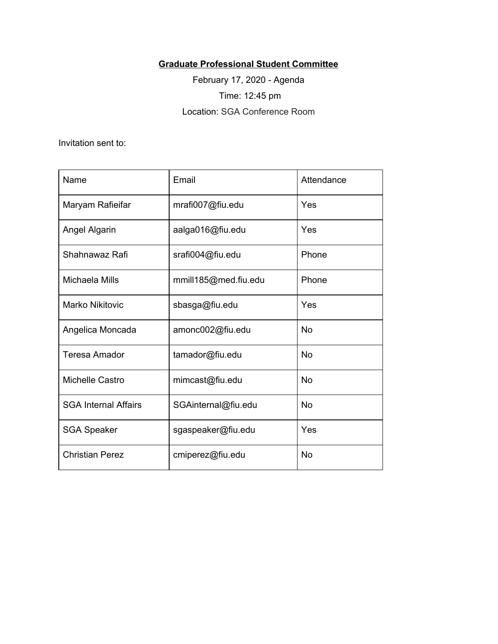## **Graduate Professional Student Committee**

February 17, 2020 - Agenda Time: 12:45 pm Location: SGA Conference Room

Invitation sent to:

| Name                        | Email                | Attendance |
|-----------------------------|----------------------|------------|
| Maryam Rafieifar            | mrafi007@fiu.edu     | Yes        |
| Angel Algarin               | aalga016@fiu.edu     | Yes        |
| Shahnawaz Rafi              | srafi004@fiu.edu     | Phone      |
| Michaela Mills              | mmill185@med.fiu.edu | Phone      |
| Marko Nikitovic             | sbasga@fiu.edu       | Yes        |
| Angelica Moncada            | amonc002@fiu.edu     | <b>No</b>  |
| <b>Teresa Amador</b>        | tamador@fiu.edu      | <b>No</b>  |
| Michelle Castro             | mimcast@fiu.edu      | <b>No</b>  |
| <b>SGA Internal Affairs</b> | SGAinternal@fiu.edu  | <b>No</b>  |
| <b>SGA Speaker</b>          | sgaspeaker@fiu.edu   | Yes        |
| <b>Christian Perez</b>      | cmiperez@fiu.edu     | <b>No</b>  |